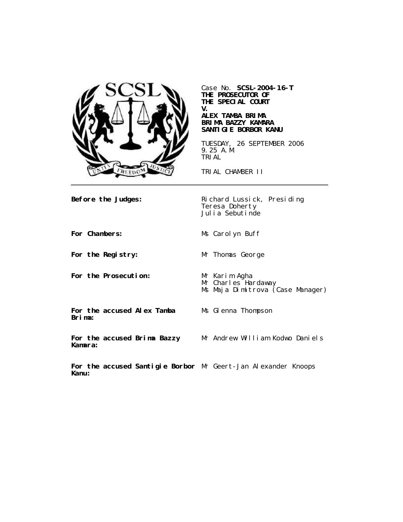

Case No. **SCSL-2004-16-T THE PROSECUTOR OF THE SPECIAL COURT V.**

### **ALEX TAMBA BRIMA BRIMA BAZZY KAMARA SANTIGIE BORBOR KANU**

TUESDAY, 26 SEPTEMBER 2006 9.25 A.M. TRIAL

TRIAL CHAMBER II

**Before the Judges:** Richard Lussick, Presiding Teresa Doherty Julia Sebutinde

**For Chambers:** Ms Carolyn Buff

**For the Registry:** Mr Thomas George

**Kamara:**

**For the Prosecution:** Mr Karim Agha

Mr Charles Hardaway

Ms Maja Dimitrova (Case Manager)

**For the accused Alex Tamba Brima:**

Ms Glenna Thompson

**For the accused Brima Bazzy**

Mr Andrew William Kodwo Daniels

**For the accused Santigie Borbor** Mr Geert-Jan Alexander Knoops**Kanu:**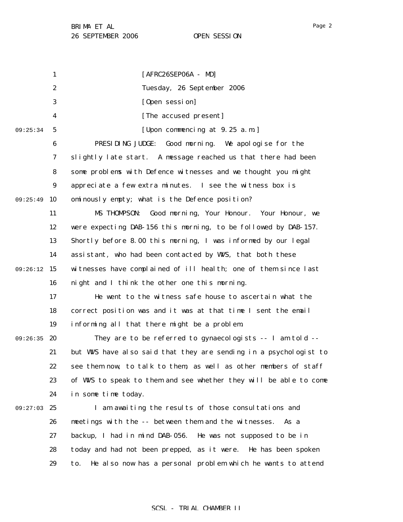1 2 3 4 5 6 7 8 9 09:25:49 10 11 12 13 14 09:26:12 15 16 17 18 19 09:26:35 20 21 22 23 24 09:27:03 25 26 27 28 29 09:25:34 [AFRC26SEP06A - MD] Tuesday, 26 September 2006 [Open session] [The accused present] [Upon commencing at 9.25 a.m.] PRESIDING JUDGE: Good morning. We apologise for the slightly late start. A message reached us that there had been some problems with Defence witnesses and we thought you might appreciate a few extra minutes. I see the witness box is ominously empty; what is the Defence position? MS THOMPSON: Good morning, Your Honour. Your Honour, we were expecting DAB-156 this morning, to be followed by DAB-157. Shortly before 8.00 this morning, I was informed by our legal assistant, who had been contacted by WVS, that both these witnesses have complained of ill health; one of them since last night and I think the other one this morning. He went to the witness safe house to ascertain what the correct position was and it was at that time I sent the email informing all that there might be a problem. They are to be referred to gynaecologists -- I am told - but WVS have also said that they are sending in a psychologist to see them now, to talk to them, as well as other members of staff of WVS to speak to them and see whether they will be able to come in some time today. I am awaiting the results of those consultations and meetings with the -- between them and the witnesses. As a backup, I had in mind DAB-056. He was not supposed to be in today and had not been prepped, as it were. He has been spoken to. He also now has a personal problem which he wants to attend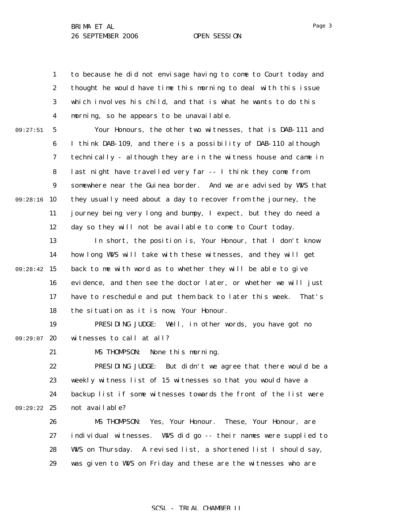1 2 3 4 to because he did not envisage having to come to Court today and thought he would have time this morning to deal with this issue which involves his child, and that is what he wants to do this morning, so he appears to be unavailable.

09:27:51

5 6 7 8 9 09:28:16 10 11 12 Your Honours, the other two witnesses, that is DAB-111 and I think DAB-109, and there is a possibility of DAB-110 although technically - although they are in the witness house and came in last night have travelled very far -- I think they come from somewhere near the Guinea border. And we are advised by WVS that they usually need about a day to recover from the journey, the journey being very long and bumpy, I expect, but they do need a day so they will not be available to come to Court today.

13 14 09:28:42 15 16 17 18 In short, the position is, Your Honour, that I don't know how long WVS will take with these witnesses, and they will get back to me with word as to whether they will be able to give evidence, and then see the doctor later, or whether we will just have to reschedule and put them back to later this week. That's the situation as it is now, Your Honour.

19 09:29:07 20 PRESIDING JUDGE: Well, in other words, you have got no witnesses to call at all?

21

MS THOMPSON: None this morning.

22 23 24 09:29:22 25 PRESIDING JUDGE: But didn't we agree that there would be a weekly witness list of 15 witnesses so that you would have a backup list if some witnesses towards the front of the list were not available?

> 26 27 28 29 MS THOMPSON: Yes, Your Honour. These, Your Honour, are individual witnesses. WWS did go -- their names were supplied to WNS on Thursday. A revised list, a shortened list I should say, was given to WWS on Friday and these are the witnesses who are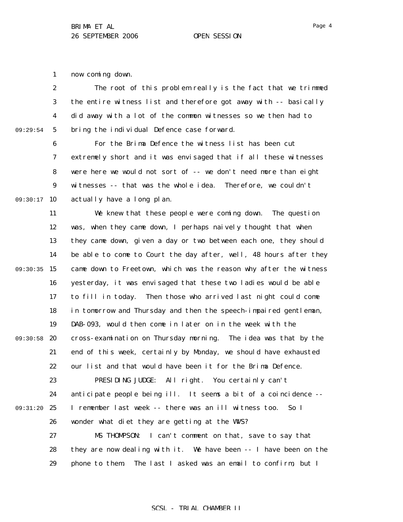1 now coming down.

2 3 4 5 09:29:54 The root of this problem really is the fact that we trimmed the entire witness list and therefore got away with -- basically did away with a lot of the common witnesses so we then had to bring the individual Defence case forward.

6 7 8 9 09:30:17 10 For the Brima Defence the witness list has been cut extremely short and it was envisaged that if all these witnesses were here we would not sort of -- we don't need more than eight witnesses -- that was the whole idea. Therefore, we couldn't actually have a long plan.

11 12 13 14 09:30:35 15 16 17 18 19 09:30:58 20 21 22 23 24 09:31:20 25 26 27 28 29 We knew that these people were coming down. The question was, when they came down, I perhaps naively thought that when they came down, given a day or two between each one, they should be able to come to Court the day after, well, 48 hours after they came down to Freetown, which was the reason why after the witness yesterday, it was envisaged that these two ladies would be able to fill in today. Then those who arrived last night could come in tomorrow and Thursday and then the speech-impaired gentleman, DAB-093, would then come in later on in the week with the cross-examination on Thursday morning. The idea was that by the end of this week, certainly by Monday, we should have exhausted our list and that would have been it for the Brima Defence. PRESIDING JUDGE: All right. You certainly can't anticipate people being ill. It seems a bit of a coincidence -- I remember last week -- there was an ill witness too. So I wonder what diet they are getting at the WNS? MS THOMPSON: I can't comment on that, save to say that they are now dealing with it. We have been -- I have been on the phone to them. The last I asked was an email to confirm, but I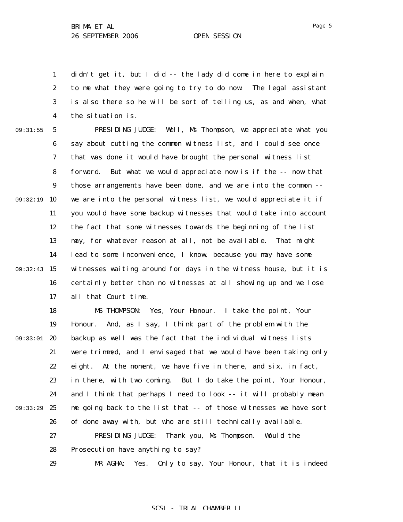1 2 3 4 didn't get it, but I did -- the lady did come in here to explain to me what they were going to try to do now. The legal assistant is also there so he will be sort of telling us, as and when, what the situation is.

09:31:55

5 6 7 8 9 09:32:19 10 11 12 13 14 09:32:43 15 16 17 PRESIDING JUDGE: Well, Ms Thompson, we appreciate what you say about cutting the common witness list, and I could see once that was done it would have brought the personal witness list forward. But what we would appreciate now is if the -- now that those arrangements have been done, and we are into the common - we are into the personal witness list, we would appreciate it if you would have some backup witnesses that would take into account the fact that some witnesses towards the beginning of the list may, for whatever reason at all, not be available. That might lead to some inconvenience, I know, because you may have some witnesses waiting around for days in the witness house, but it is certainly better than no witnesses at all showing up and we lose all that Court time.

18 19 09:33:01 20 21 22 23 24 09:33:29 25 26 27 28 29 MS THOMPSON: Yes, Your Honour. I take the point, Your Honour. And, as I say, I think part of the problem with the backup as well was the fact that the individual witness lists were trimmed, and I envisaged that we would have been taking only eight. At the moment, we have five in there, and six, in fact, in there, with two coming. But I do take the point, Your Honour, and I think that perhaps I need to look -- it will probably mean me going back to the list that -- of those witnesses we have sort of done away with, but who are still technically available. PRESIDING JUDGE: Thank you, Ms Thompson. Would the Prosecution have anything to say? MR AGHA: Yes. Only to say, Your Honour, that it is indeed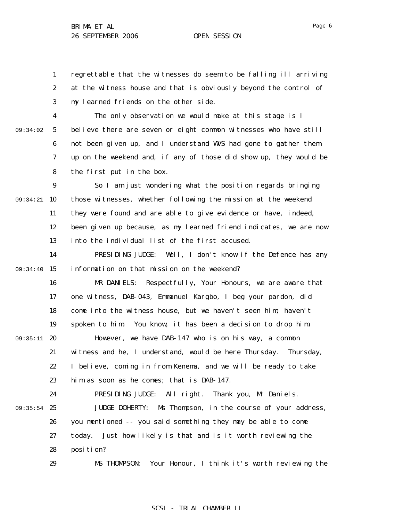1 2 3 regrettable that the witnesses do seem to be falling ill arriving at the witness house and that is obviously beyond the control of my learned friends on the other side.

4 5 6 7 8 09:34:02 The only observation we would make at this stage is I believe there are seven or eight common witnesses who have still not been given up, and I understand WVS had gone to gather them up on the weekend and, if any of those did show up, they would be the first put in the box.

9 09:34:21 10 11 12 13 So I am just wondering what the position regards bringing those witnesses, whether following the mission at the weekend they were found and are able to give evidence or have, indeed, been given up because, as my learned friend indicates, we are now into the individual list of the first accused.

14 09:34:40 15 PRESIDING JUDGE: Well, I don't know if the Defence has any information on that mission on the weekend?

16 17 18 19 09:35:11 20 21 22 23 24 MR DANIELS: Respectfully, Your Honours, we are aware that one witness, DAB-043, Emmanuel Kargbo, I beg your pardon, did come into the witness house, but we haven't seen him, haven't spoken to him. You know, it has been a decision to drop him. However, we have DAB-147 who is on his way, a common witness and he, I understand, would be here Thursday. Thursday, I believe, coming in from Kenema, and we will be ready to take him as soon as he comes; that is DAB-147. PRESIDING JUDGE: All right. Thank you, Mr Daniels.

09:35:54 25 26 27 28 JUDGE DOHERTY: Ms Thompson, in the course of your address, you mentioned -- you said something they may be able to come today. Just how likely is that and is it worth reviewing the position?

> 29 MS THOMPSON: Your Honour, I think it's worth reviewing the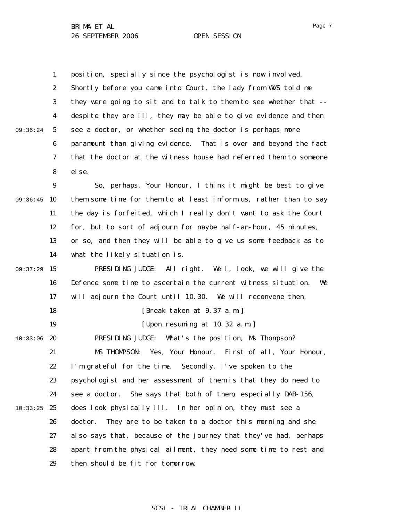1 2 3 4 5 6 7 8 9 09:36:45 10 11 12 13 14 09:37:29 15 16 17 18 19 10:33:06 20 21 22 23 24  $10:33:25$  25 26 27 28 29 09:36:24 position, specially since the psychologist is now involved. Shortly before you came into Court, the lady from WWS told me they were going to sit and to talk to them to see whether that - despite they are ill, they may be able to give evidence and then see a doctor, or whether seeing the doctor is perhaps more paramount than giving evidence. That is over and beyond the fact that the doctor at the witness house had referred them to someone else. So, perhaps, Your Honour, I think it might be best to give them some time for them to at least inform us, rather than to say the day is forfeited, which I really don't want to ask the Court for, but to sort of adjourn for maybe half-an-hour, 45 minutes, or so, and then they will be able to give us some feedback as to what the likely situation is. PRESIDING JUDGE: All right. Well, look, we will give the Defence some time to ascertain the current witness situation. We will adjourn the Court until 10.30. We will reconvene then. [Break taken at 9.37 a.m.] [Upon resuming at 10.32 a.m.] PRESIDING JUDGE: What's the position, Ms Thompson? MS THOMPSON: Yes, Your Honour. First of all, Your Honour, I'm grateful for the time. Secondly, I've spoken to the psychologist and her assessment of them is that they do need to see a doctor. She says that both of them, especially DAB-156, does look physically ill. In her opinion, they must see a doctor. They are to be taken to a doctor this morning and she also says that, because of the journey that they've had, perhaps apart from the physical ailment, they need some time to rest and then should be fit for tomorrow.

Page 7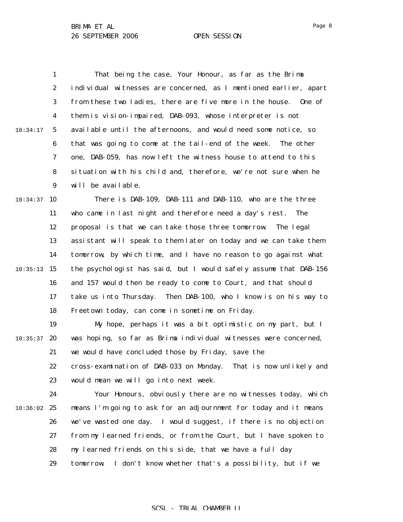1 2 3 4 5 6 7 8 9 10:34:17 That being the case, Your Honour, as far as the Brima individual witnesses are concerned, as I mentioned earlier, apart from these two ladies, there are five more in the house. One of them is vision-impaired, DAB-093, whose interpreter is not available until the afternoons, and would need some notice, so that was going to come at the tail-end of the week. The other one, DAB-059, has now left the witness house to attend to this situation with his child and, therefore, we're not sure when he will be available.

 $10:34:37$  10 11 12 13 14  $10:35:13$  15 16 17 18 There is DAB-109, DAB-111 and DAB-110, who are the three who came in last night and therefore need a day's rest. The proposal is that we can take those three tomorrow. The legal assistant will speak to them later on today and we can take them tomorrow, by which time, and I have no reason to go against what the psychologist has said, but I would safely assume that DAB-156 and 157 would then be ready to come to Court, and that should take us into Thursday. Then DAB-100, who I know is on his way to Freetown today, can come in sometime on Friday.

19  $10:35:37$  20 21 My hope, perhaps it was a bit optimistic on my part, but I was hoping, so far as Brima individual witnesses were concerned, we would have concluded those by Friday, save the

22 23 cross-examination of DAB-033 on Monday. That is now unlikely and would mean we will go into next week.

24  $10:36:02$  25 26 27 28 29 Your Honours, obviously there are no witnesses today, which means I'm going to ask for an adjournment for today and it means we've wasted one day. I would suggest, if there is no objection from my learned friends, or from the Court, but I have spoken to my learned friends on this side, that we have a full day tomorrow. I don't know whether that's a possibility, but if we

### Page 8